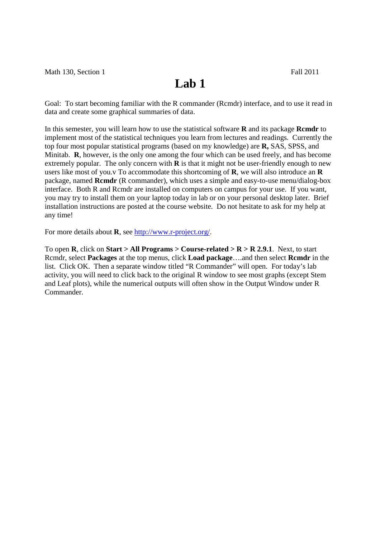## **Lab 1**

Goal: To start becoming familiar with the R commander (Rcmdr) interface, and to use it read in data and create some graphical summaries of data.

In this semester, you will learn how to use the statistical software **R** and its package **Rcmdr** to implement most of the statistical techniques you learn from lectures and readings. Currently the top four most popular statistical programs (based on my knowledge) are **R,** SAS, SPSS, and Minitab. **R**, however, is the only one among the four which can be used freely, and has become extremely popular. The only concern with **R** is that it might not be user-friendly enough to new users like most of you.v To accommodate this shortcoming of **R**, we will also introduce an **R**  package, named **Rcmdr** (R commander), which uses a simple and easy-to-use menu/dialog-box interface. Both R and Rcmdr are installed on computers on campus for your use. If you want, you may try to install them on your laptop today in lab or on your personal desktop later. Brief installation instructions are posted at the course website. Do not hesitate to ask for my help at any time!

For more details about **R**, see http://www.r-project.org/.

To open **R**, click on **Start > All Programs > Course-related >**  $R$  **>**  $R$  **2.9.1. Next, to start** Rcmdr, select **Packages** at the top menus, click **Load package**….and then select **Rcmdr** in the list. Click OK. Then a separate window titled "R Commander" will open. For today's lab activity, you will need to click back to the original R window to see most graphs (except Stem and Leaf plots), while the numerical outputs will often show in the Output Window under R Commander.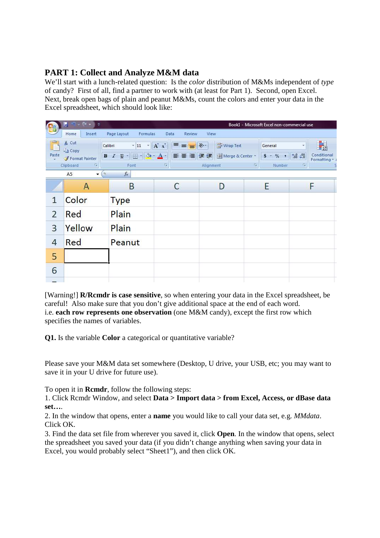## **PART 1: Collect and Analyze M&M data**

We'll start with a lunch-related question: Is the *color* distribution of M&Ms independent of *type*  of candy? First of all, find a partner to work with (at least for Part 1). Second, open Excel. Next, break open bags of plain and peanut M&Ms, count the colors and enter your data in the Excel spreadsheet, which should look like:

| <b>La</b>                                                                                                             | $\sim$ $\alpha$<br>H<br>ಾ<br>$\mathcal{P}$                          |                            |                                                       |                            | Book1 - Microsoft Excel non-commercial use |                                                          |  |  |
|-----------------------------------------------------------------------------------------------------------------------|---------------------------------------------------------------------|----------------------------|-------------------------------------------------------|----------------------------|--------------------------------------------|----------------------------------------------------------|--|--|
|                                                                                                                       | Page Layout<br>Home<br>Insert<br>Review<br>View<br>Formulas<br>Data |                            |                                                       |                            |                                            |                                                          |  |  |
| ĥ                                                                                                                     | % Cut<br><b>Ea</b> Copy                                             | $-11$<br>Calibri           | $\mathbf{A}^{\star}$<br>$\equiv$<br>$\equiv$ $\equiv$ | Wrap Text<br>$\frac{1}{2}$ | General                                    | ٠<br><b>ISS</b>                                          |  |  |
| Paste<br>÷                                                                                                            | Format Painter                                                      | $I$ U<br>開<br>$\, {\bf B}$ | 毒毒健康<br>事<br>$\mathbf{A}$ -                           | Merge & Center             | $$ +  %$<br>$\tilde{\pi}(\pmb{y}_0)$       | Conditional<br>$\frac{+0.0}{0.6}$ - 00<br>Formatting * a |  |  |
|                                                                                                                       | Clipboard<br>п,                                                     | Font                       | 模                                                     | Alignment                  | 围<br>Number                                | <b>IS</b>                                                |  |  |
| $\overline{\phantom{a}}$<br>$f_{x}% =-\sqrt{\varepsilon }^{2}+\left\vert \mathcal{G}_{x}\right\vert ^{2}$<br>O.<br>A5 |                                                                     |                            |                                                       |                            |                                            |                                                          |  |  |
|                                                                                                                       | A                                                                   | B                          | C                                                     | D                          | E                                          | F                                                        |  |  |
| $\mathbf{1}$                                                                                                          | Color                                                               | <b>Type</b>                |                                                       |                            |                                            |                                                          |  |  |
| $\overline{2}$                                                                                                        | Red                                                                 | Plain                      |                                                       |                            |                                            |                                                          |  |  |
| 3                                                                                                                     | Yellow                                                              | Plain                      |                                                       |                            |                                            |                                                          |  |  |
| $\overline{4}$                                                                                                        | Red                                                                 | Peanut                     |                                                       |                            |                                            |                                                          |  |  |
| 5                                                                                                                     |                                                                     |                            |                                                       |                            |                                            |                                                          |  |  |
| 6                                                                                                                     |                                                                     |                            |                                                       |                            |                                            |                                                          |  |  |
| --                                                                                                                    |                                                                     |                            |                                                       |                            |                                            |                                                          |  |  |

[Warning!] **R/Rcmdr is case sensitive**, so when entering your data in the Excel spreadsheet, be careful! Also make sure that you don't give additional space at the end of each word. i.e. **each row represents one observation** (one M&M candy), except the first row which specifies the names of variables.

**Q1.** Is the variable **Color** a categorical or quantitative variable?

Please save your M&M data set somewhere (Desktop, U drive, your USB, etc; you may want to save it in your U drive for future use).

To open it in **Rcmdr**, follow the following steps:

1. Click Rcmdr Window, and select **Data > Import data > from Excel, Access, or dBase data set…**.

2. In the window that opens, enter a **name** you would like to call your data set, e.g. *MMdata*. Click OK.

3. Find the data set file from wherever you saved it, click **Open**. In the window that opens, select the spreadsheet you saved your data (if you didn't change anything when saving your data in Excel, you would probably select "Sheet1"), and then click OK.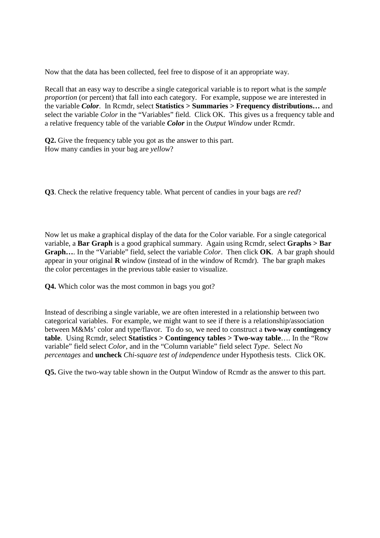Now that the data has been collected, feel free to dispose of it an appropriate way.

Recall that an easy way to describe a single categorical variable is to report what is the *sample proportion* (or percent) that fall into each category. For example, suppose we are interested in the variable *Color*. In Rcmdr, select **Statistics > Summaries > Frequency distributions…** and select the variable *Color* in the "Variables" field. Click OK. This gives us a frequency table and a relative frequency table of the variable *Color* in the *Output Window* under Rcmdr.

**Q2.** Give the frequency table you got as the answer to this part. How many candies in your bag are *yellow*?

**Q3**. Check the relative frequency table. What percent of candies in your bags are *red*?

Now let us make a graphical display of the data for the Color variable. For a single categorical variable, a **Bar Graph** is a good graphical summary. Again using Rcmdr, select **Graphs > Bar Graph…**. In the "Variable" field, select the variable *Color*. Then click **OK**. A bar graph should appear in your original **R** window (instead of in the window of Rcmdr). The bar graph makes the color percentages in the previous table easier to visualize.

**Q4.** Which color was the most common in bags you got?

Instead of describing a single variable, we are often interested in a relationship between two categorical variables. For example, we might want to see if there is a relationship/association between M&Ms' color and type/flavor. To do so, we need to construct a **two-way contingency table**. Using Rcmdr, select **Statistics > Contingency tables > Two-way table**…. In the "Row variable" field select *Color*, and in the "Column variable" field select *Type*. Select *No percentages* and **uncheck** *Chi-square test of independence* under Hypothesis tests. Click OK.

**Q5.** Give the two-way table shown in the Output Window of Rcmdr as the answer to this part.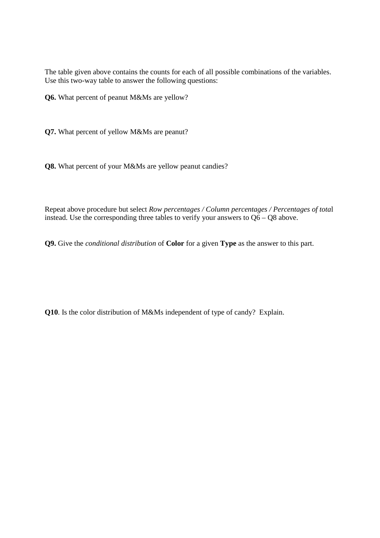The table given above contains the counts for each of all possible combinations of the variables. Use this two-way table to answer the following questions:

**Q6.** What percent of peanut M&Ms are yellow?

**Q7.** What percent of yellow M&Ms are peanut?

**Q8.** What percent of your M&Ms are yellow peanut candies?

Repeat above procedure but select *Row percentages / Column percentages / Percentages of tota*l instead. Use the corresponding three tables to verify your answers to Q6 – Q8 above.

**Q9.** Give the *conditional distribution* of **Color** for a given **Type** as the answer to this part.

**Q10**. Is the color distribution of M&Ms independent of type of candy? Explain.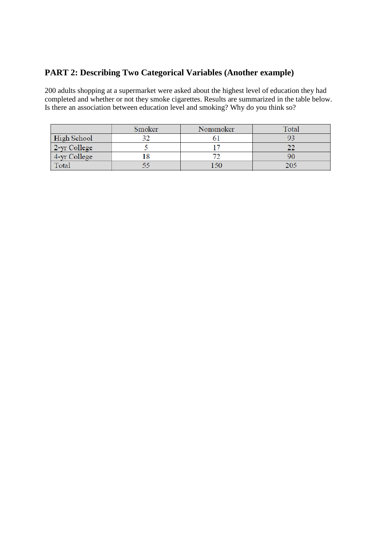## **PART 2: Describing Two Categorical Variables (Another example)**

200 adults shopping at a supermarket were asked about the highest level of education they had completed and whether or not they smoke cigarettes. Results are summarized in the table below. Is there an association between education level and smoking? Why do you think so?

|              | Smoker | Nonsmoker | <b>Total</b> |
|--------------|--------|-----------|--------------|
| High School  |        |           |              |
| 2-yr College |        |           |              |
| 4-yr College |        |           |              |
| Total        |        | l 50      | 205          |